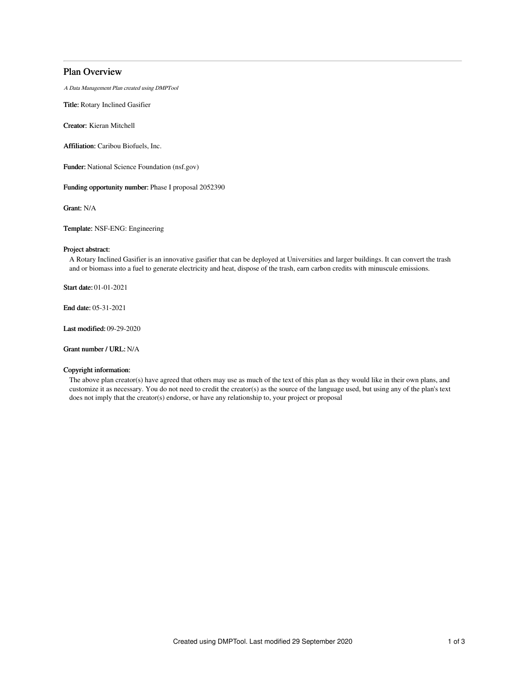# Plan Overview

A Data Management Plan created using DMPTool

Title: Rotary Inclined Gasifier

Creator: Kieran Mitchell

Affiliation: Caribou Biofuels, Inc.

Funder: National Science Foundation (nsf.gov)

Funding opportunity number: Phase I proposal 2052390

Grant: N/A

Template: NSF-ENG: Engineering

### Project abstract:

A Rotary Inclined Gasifier is an innovative gasifier that can be deployed at Universities and larger buildings. It can convert the trash and or biomass into a fuel to generate electricity and heat, dispose of the trash, earn carbon credits with minuscule emissions.

Start date: 01-01-2021

End date: 05-31-2021

Last modified: 09-29-2020

Grant number / URL: N/A

## Copyright information:

The above plan creator(s) have agreed that others may use as much of the text of this plan as they would like in their own plans, and customize it as necessary. You do not need to credit the creator(s) as the source of the language used, but using any of the plan's text does not imply that the creator(s) endorse, or have any relationship to, your project or proposal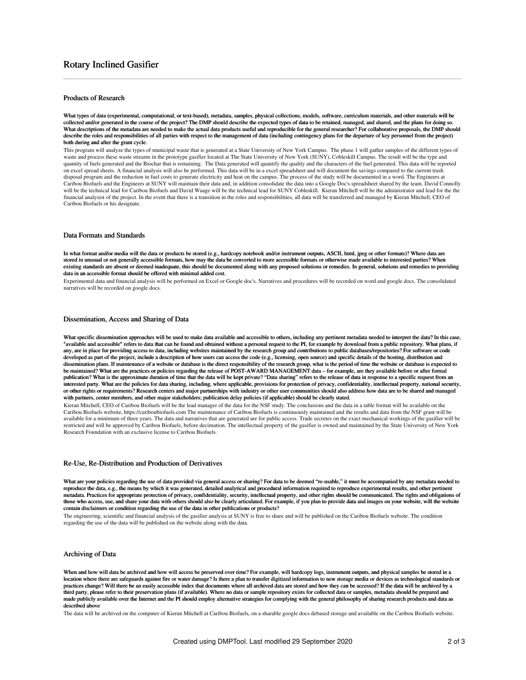### Products of Research

What types of data (experimental, computational, or text-based), metadata, samples, physical collections, models, software, curriculum materials, and other materials will be collected and/or generated in the course of the project? The DMP should describe the expected types of data to be retained, managed, and shared, and the plans for doing so. What descriptions of the metadata are needed to make the actual data products useful and reproducible for the general researcher? For collaborative proposals, the DMP should describe the roles and responsibilities of all parties with respect to the management of data (including contingency plans for the departure of key personnel from the project) both during and after the grant cycle.

This program will analyze the types of municipal waste that is generated at a State University of New York Campus. The phase 1 will gather samples of the different types of waste and process these waste streams in the prototype gasifier located at The State University of New York (SUNY), Cobleskill Campus. The result will be the type and quantity of fuels generated and the Biochar that is remaining. The Data generated will quantify the quality and the characters of the fuel generated. This data will be reported on excel spread sheets. A financial analysis will also be performed. This data will be in a excel spreadsheet and will document the savings compared to the current trash disposal program and the reduction in fuel costs to generate electricity and heat on the campus. The process of the study will be documented in a word. The Engineers at Caribou Biofuels and the Engineers at SUNY will maintain their data and, in addition consolidate the data into a Google Doc's spreadsheet shared by the team. David Connolly will be the technical lead for Caribou Biofuels and David Waage will be the technical lead for SUNY Cobleskill. Kieran Mitchell will be the administrator and lead for the the financial analysist of the project. In the event that there is a transition in the roles and responsibilities, all data will be transferred and managed by Kieran Mitchell, CEO of Caribou Biofuels or his designate.

### Data Formats and Standards

In what format and/or media will the data or products be stored (e.g., hardcopy notebook and/or instrument outputs, ASCII, html, jpeg or other formats)? Where data are stored in unusual or not generally accessible formats, how may the data be converted to more accessible formats or otherwise made available to interested parties? When existing standards are absent or deemed inadequate, this should be documented along with any proposed solutions or remedies. In general, solutions and remedies to providing data in an accessible format should be offered with minimal added cost.

Experimental data and financial analysis will be performed on Excel or Google doc's. Narratives and procedures will be recorded on word and google docs. The consolidated narratives will be recorded on google docs.

#### Dissemination, Access and Sharing of Data

What specific dissemination approaches will be used to make data available and accessible to others, including any pertinent metadata needed to interpret the data? In this case, "available and accessible" refers to data that can be found and obtained without a personal request to the PI, for example by download from a public repository. What plans, if any, are in place for providing access to data, including websites maintained by the research group and contributions to public databases/repositories? For software or code developed as part of the project, include a description of how users can access the code (e.g., licensing, open source) and specific details of the hosting, distribution and dissemination plans. If maintenance of a website or database is the direct responsibility of the research group, what is the period of time the website or database is expected to be maintained? What are the practices or policies regarding the release of POST-AWARD MANAGEMENT data – for example, are they available before or after formal publication? What is the approximate duration of time that the data will be kept private? "Data sharing" refers to the release of data in response to a specific request from an interested party. What are the policies for data sharing, including, where applicable, provisions for protection of privacy, confidentiality, intellectual property, national security, or other rights or requirements? Research centers and major partnerships with industry or other user communities should also address how data are to be shared and managed<br>with partners, center members, and other major stak

Kieran Mitchell, CEO of Caribou Biofuels will be the lead manager of the data for the NSF study. The conclusions and the data in a table format will be available on the Caribou Biofuels website, https://cariboubiofuels.com The maintenance of Caribou Biofuels is continuously maintained and the results and data from the NSF grant will be available for a minimum of three years. The data and narratives that are generated are for public access. Trade secretes on the exact mechanical workings of the gasifier will be restricted and will be approved by Caribou Biofuels, before decimation. The intellectual property of the gasifier is owned and maintained by the State University of New York Research Foundation with an exclusive license to Caribou Biofuels.

#### Re-Use, Re-Distribution and Production of Derivatives

What are your policies regarding the use of data provided via general access or sharing? For data to be deemed "re-usable," it must be accompanied by any metadata needed to reproduce the data, e.g., the means by which it was generated, detailed analytical and procedural information required to reproduce experimental results, and other pertinent metadata. Practices for appropriate protection of privacy, confidentiality, security, intellectual property, and other rights should be communicated. The rights and obligations of those who access, use, and share your data with others should also be clearly articulated. For example, if you plan to provide data and images on your website, will the website contain disclaimers or condition regarding the use of the data in other publications or products?

The engineering, scientific and financial analysis of the gasifier analysis at SUNY is free to share and will be published on the Caribou Biofuels website. The condition regarding the use of the data will be published on the website along with the data.

#### Archiving of Data

When and how will data be archived and how will access be preserved over time? For example, will hardcopy logs, instrument outputs, and physical samples be stored in a location where there are safeguards against fire or water damage? Is there a plan to transfer digitized information to new storage media or devices as technological standards or practices change? Will there be an easily accessible index that documents where all archived data are stored and how they can be accessed? If the data will be archived by a third party, please refer to their preservation plans (if available). Where no data or sample repository exists for collected data or samples, metadata should be prepared and made publicly available over the Internet and the PI should employ alternative strategies for complying with the general philosophy of sharing research products and data as described above

The data will be archived on the computer of Kieran Mitchell at Caribou Biofuels, on a sharable google docs debased storage and available on the Caribou Biofuels website.